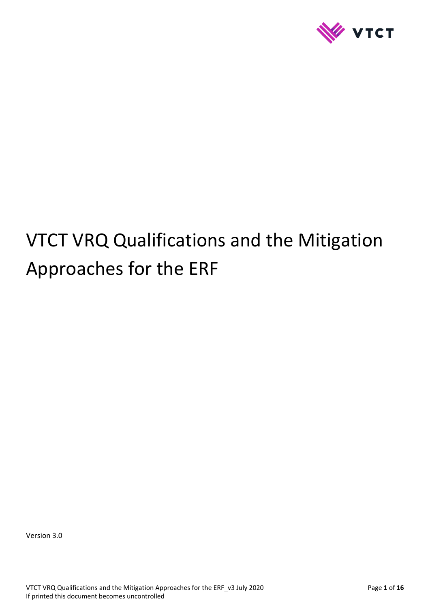

# VTCT VRQ Qualifications and the Mitigation Approaches for the ERF

Version 3.0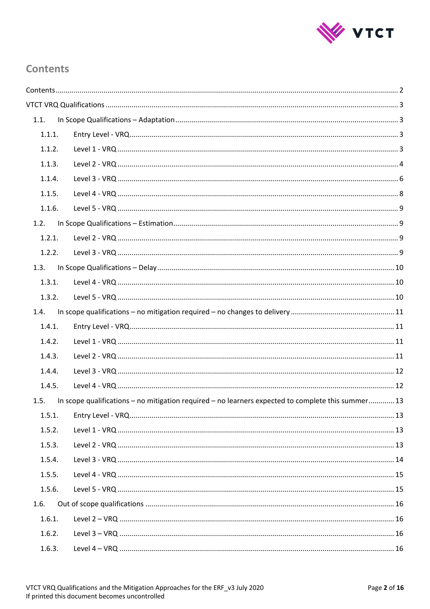

# <span id="page-1-0"></span>**Contents**

| 1.1.   |                                                                                                   |  |
|--------|---------------------------------------------------------------------------------------------------|--|
| 1.1.1. |                                                                                                   |  |
| 1.1.2. |                                                                                                   |  |
| 1.1.3. |                                                                                                   |  |
| 1.1.4. |                                                                                                   |  |
| 1.1.5. |                                                                                                   |  |
| 1.1.6. |                                                                                                   |  |
| 1.2.   |                                                                                                   |  |
| 1.2.1. |                                                                                                   |  |
| 1.2.2. |                                                                                                   |  |
| 1.3.   |                                                                                                   |  |
| 1.3.1. |                                                                                                   |  |
| 1.3.2. |                                                                                                   |  |
| 1.4.   |                                                                                                   |  |
| 1.4.1. |                                                                                                   |  |
| 1.4.2. |                                                                                                   |  |
| 1.4.3. |                                                                                                   |  |
| 1.4.4. |                                                                                                   |  |
| 1.4.5. |                                                                                                   |  |
| 1.5.   | In scope qualifications – no mitigation required – no learners expected to complete this summer13 |  |
| 1.5.1. |                                                                                                   |  |
| 1.5.2. |                                                                                                   |  |
| 1.5.3. |                                                                                                   |  |
| 1.5.4. |                                                                                                   |  |
| 1.5.5. |                                                                                                   |  |
| 1.5.6. |                                                                                                   |  |
| 1.6.   |                                                                                                   |  |
| 1.6.1. |                                                                                                   |  |
| 1.6.2. |                                                                                                   |  |
| 1.6.3. |                                                                                                   |  |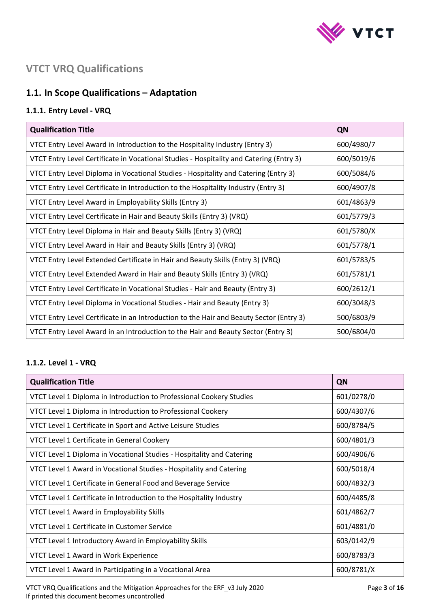

# <span id="page-2-0"></span>**VTCT VRQ Qualifications**

# <span id="page-2-1"></span>**1.1. In Scope Qualifications – Adaptation**

## <span id="page-2-2"></span>**1.1.1. Entry Level - VRQ**

| <b>Qualification Title</b>                                                              | QN         |
|-----------------------------------------------------------------------------------------|------------|
| VTCT Entry Level Award in Introduction to the Hospitality Industry (Entry 3)            | 600/4980/7 |
| VTCT Entry Level Certificate in Vocational Studies - Hospitality and Catering (Entry 3) | 600/5019/6 |
| VTCT Entry Level Diploma in Vocational Studies - Hospitality and Catering (Entry 3)     | 600/5084/6 |
| VTCT Entry Level Certificate in Introduction to the Hospitality Industry (Entry 3)      | 600/4907/8 |
| VTCT Entry Level Award in Employability Skills (Entry 3)                                | 601/4863/9 |
| VTCT Entry Level Certificate in Hair and Beauty Skills (Entry 3) (VRQ)                  | 601/5779/3 |
| VTCT Entry Level Diploma in Hair and Beauty Skills (Entry 3) (VRQ)                      | 601/5780/X |
| VTCT Entry Level Award in Hair and Beauty Skills (Entry 3) (VRQ)                        | 601/5778/1 |
| VTCT Entry Level Extended Certificate in Hair and Beauty Skills (Entry 3) (VRQ)         | 601/5783/5 |
| VTCT Entry Level Extended Award in Hair and Beauty Skills (Entry 3) (VRQ)               | 601/5781/1 |
| VTCT Entry Level Certificate in Vocational Studies - Hair and Beauty (Entry 3)          | 600/2612/1 |
| VTCT Entry Level Diploma in Vocational Studies - Hair and Beauty (Entry 3)              | 600/3048/3 |
| VTCT Entry Level Certificate in an Introduction to the Hair and Beauty Sector (Entry 3) | 500/6803/9 |
| VTCT Entry Level Award in an Introduction to the Hair and Beauty Sector (Entry 3)       | 500/6804/0 |

## <span id="page-2-3"></span>**1.1.2. Level 1 - VRQ**

| <b>Qualification Title</b>                                            | QN         |
|-----------------------------------------------------------------------|------------|
| VTCT Level 1 Diploma in Introduction to Professional Cookery Studies  | 601/0278/0 |
| VTCT Level 1 Diploma in Introduction to Professional Cookery          | 600/4307/6 |
| VTCT Level 1 Certificate in Sport and Active Leisure Studies          | 600/8784/5 |
| VTCT Level 1 Certificate in General Cookery                           | 600/4801/3 |
| VTCT Level 1 Diploma in Vocational Studies - Hospitality and Catering | 600/4906/6 |
| VTCT Level 1 Award in Vocational Studies - Hospitality and Catering   | 600/5018/4 |
| VTCT Level 1 Certificate in General Food and Beverage Service         | 600/4832/3 |
| VTCT Level 1 Certificate in Introduction to the Hospitality Industry  | 600/4485/8 |
| VTCT Level 1 Award in Employability Skills                            | 601/4862/7 |
| VTCT Level 1 Certificate in Customer Service                          | 601/4881/0 |
| VTCT Level 1 Introductory Award in Employability Skills               | 603/0142/9 |
| VTCT Level 1 Award in Work Experience                                 | 600/8783/3 |
| VTCT Level 1 Award in Participating in a Vocational Area              | 600/8781/X |

VTCT VRQ Qualifications and the Mitigation Approaches for the ERF\_v3 July 2020 Page **3** of **16** If printed this document becomes uncontrolled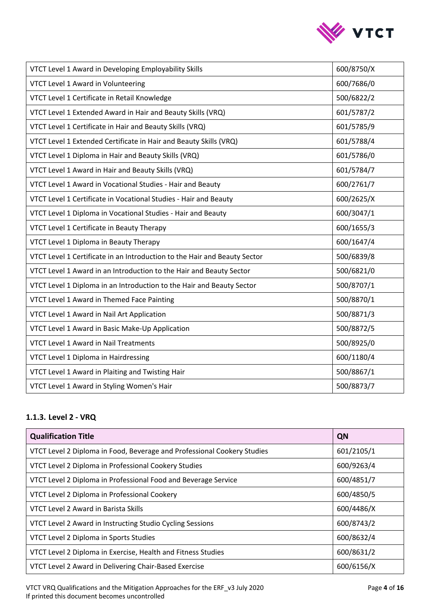

| VTCT Level 1 Award in Developing Employability Skills                     | 600/8750/X |
|---------------------------------------------------------------------------|------------|
| VTCT Level 1 Award in Volunteering                                        | 600/7686/0 |
| VTCT Level 1 Certificate in Retail Knowledge                              | 500/6822/2 |
| VTCT Level 1 Extended Award in Hair and Beauty Skills (VRQ)               | 601/5787/2 |
| VTCT Level 1 Certificate in Hair and Beauty Skills (VRQ)                  | 601/5785/9 |
| VTCT Level 1 Extended Certificate in Hair and Beauty Skills (VRQ)         | 601/5788/4 |
| VTCT Level 1 Diploma in Hair and Beauty Skills (VRQ)                      | 601/5786/0 |
| VTCT Level 1 Award in Hair and Beauty Skills (VRQ)                        | 601/5784/7 |
| VTCT Level 1 Award in Vocational Studies - Hair and Beauty                | 600/2761/7 |
| VTCT Level 1 Certificate in Vocational Studies - Hair and Beauty          | 600/2625/X |
| VTCT Level 1 Diploma in Vocational Studies - Hair and Beauty              | 600/3047/1 |
| VTCT Level 1 Certificate in Beauty Therapy                                | 600/1655/3 |
| VTCT Level 1 Diploma in Beauty Therapy                                    | 600/1647/4 |
| VTCT Level 1 Certificate in an Introduction to the Hair and Beauty Sector | 500/6839/8 |
| VTCT Level 1 Award in an Introduction to the Hair and Beauty Sector       | 500/6821/0 |
| VTCT Level 1 Diploma in an Introduction to the Hair and Beauty Sector     | 500/8707/1 |
| VTCT Level 1 Award in Themed Face Painting                                | 500/8870/1 |
| VTCT Level 1 Award in Nail Art Application                                | 500/8871/3 |
| VTCT Level 1 Award in Basic Make-Up Application                           | 500/8872/5 |
| <b>VTCT Level 1 Award in Nail Treatments</b>                              | 500/8925/0 |
| VTCT Level 1 Diploma in Hairdressing                                      | 600/1180/4 |
| VTCT Level 1 Award in Plaiting and Twisting Hair                          | 500/8867/1 |
| VTCT Level 1 Award in Styling Women's Hair                                | 500/8873/7 |

## <span id="page-3-0"></span>**1.1.3. Level 2 - VRQ**

| <b>Qualification Title</b>                                              | QN         |
|-------------------------------------------------------------------------|------------|
| VTCT Level 2 Diploma in Food, Beverage and Professional Cookery Studies | 601/2105/1 |
| VTCT Level 2 Diploma in Professional Cookery Studies                    | 600/9263/4 |
| VTCT Level 2 Diploma in Professional Food and Beverage Service          | 600/4851/7 |
| VTCT Level 2 Diploma in Professional Cookery                            | 600/4850/5 |
| <b>VTCT Level 2 Award in Barista Skills</b>                             | 600/4486/X |
| VTCT Level 2 Award in Instructing Studio Cycling Sessions               | 600/8743/2 |
| <b>VTCT Level 2 Diploma in Sports Studies</b>                           | 600/8632/4 |
| VTCT Level 2 Diploma in Exercise, Health and Fitness Studies            | 600/8631/2 |
| VTCT Level 2 Award in Delivering Chair-Based Exercise                   | 600/6156/X |

VTCT VRQ Qualifications and the Mitigation Approaches for the ERF\_v3 July 2020 Page **4** of **16** If printed this document becomes uncontrolled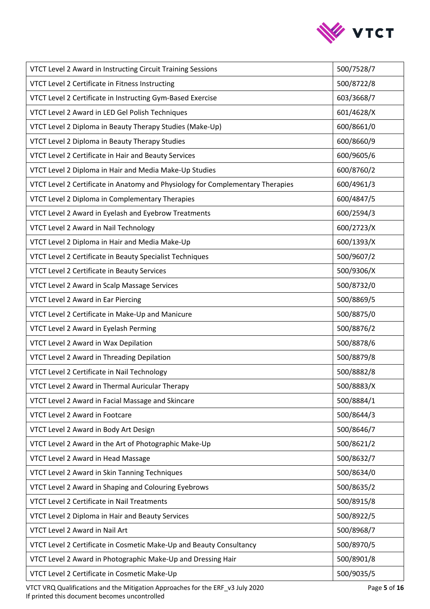

| VTCT Level 2 Award in Instructing Circuit Training Sessions                    | 500/7528/7 |
|--------------------------------------------------------------------------------|------------|
| VTCT Level 2 Certificate in Fitness Instructing                                | 500/8722/8 |
| VTCT Level 2 Certificate in Instructing Gym-Based Exercise                     | 603/3668/7 |
| VTCT Level 2 Award in LED Gel Polish Techniques                                | 601/4628/X |
| VTCT Level 2 Diploma in Beauty Therapy Studies (Make-Up)                       | 600/8661/0 |
| VTCT Level 2 Diploma in Beauty Therapy Studies                                 | 600/8660/9 |
| VTCT Level 2 Certificate in Hair and Beauty Services                           | 600/9605/6 |
| VTCT Level 2 Diploma in Hair and Media Make-Up Studies                         | 600/8760/2 |
| VTCT Level 2 Certificate in Anatomy and Physiology for Complementary Therapies | 600/4961/3 |
| VTCT Level 2 Diploma in Complementary Therapies                                | 600/4847/5 |
| VTCT Level 2 Award in Eyelash and Eyebrow Treatments                           | 600/2594/3 |
| VTCT Level 2 Award in Nail Technology                                          | 600/2723/X |
| VTCT Level 2 Diploma in Hair and Media Make-Up                                 | 600/1393/X |
| VTCT Level 2 Certificate in Beauty Specialist Techniques                       | 500/9607/2 |
| VTCT Level 2 Certificate in Beauty Services                                    | 500/9306/X |
| VTCT Level 2 Award in Scalp Massage Services                                   | 500/8732/0 |
| VTCT Level 2 Award in Ear Piercing                                             | 500/8869/5 |
| VTCT Level 2 Certificate in Make-Up and Manicure                               | 500/8875/0 |
| VTCT Level 2 Award in Eyelash Perming                                          | 500/8876/2 |
| VTCT Level 2 Award in Wax Depilation                                           | 500/8878/6 |
| VTCT Level 2 Award in Threading Depilation                                     | 500/8879/8 |
| VTCT Level 2 Certificate in Nail Technology                                    | 500/8882/8 |
| VTCT Level 2 Award in Thermal Auricular Therapy                                | 500/8883/X |
| VTCT Level 2 Award in Facial Massage and Skincare                              | 500/8884/1 |
| VTCT Level 2 Award in Footcare                                                 | 500/8644/3 |
| VTCT Level 2 Award in Body Art Design                                          | 500/8646/7 |
| VTCT Level 2 Award in the Art of Photographic Make-Up                          | 500/8621/2 |
| VTCT Level 2 Award in Head Massage                                             | 500/8632/7 |
| VTCT Level 2 Award in Skin Tanning Techniques                                  | 500/8634/0 |
| VTCT Level 2 Award in Shaping and Colouring Eyebrows                           | 500/8635/2 |
| VTCT Level 2 Certificate in Nail Treatments                                    | 500/8915/8 |
| VTCT Level 2 Diploma in Hair and Beauty Services                               | 500/8922/5 |
| VTCT Level 2 Award in Nail Art                                                 | 500/8968/7 |
| VTCT Level 2 Certificate in Cosmetic Make-Up and Beauty Consultancy            | 500/8970/5 |
| VTCT Level 2 Award in Photographic Make-Up and Dressing Hair                   | 500/8901/8 |
| VTCT Level 2 Certificate in Cosmetic Make-Up                                   | 500/9035/5 |

VTCT VRQ Qualifications and the Mitigation Approaches for the ERF\_v3 July 2020 Page **5** of **16** If printed this document becomes uncontrolled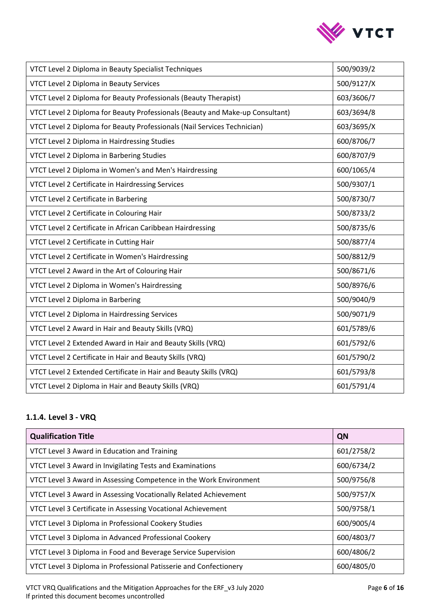

| VTCT Level 2 Diploma in Beauty Specialist Techniques                          | 500/9039/2 |
|-------------------------------------------------------------------------------|------------|
| VTCT Level 2 Diploma in Beauty Services                                       | 500/9127/X |
| VTCT Level 2 Diploma for Beauty Professionals (Beauty Therapist)              | 603/3606/7 |
| VTCT Level 2 Diploma for Beauty Professionals (Beauty and Make-up Consultant) | 603/3694/8 |
| VTCT Level 2 Diploma for Beauty Professionals (Nail Services Technician)      | 603/3695/X |
| VTCT Level 2 Diploma in Hairdressing Studies                                  | 600/8706/7 |
| VTCT Level 2 Diploma in Barbering Studies                                     | 600/8707/9 |
| VTCT Level 2 Diploma in Women's and Men's Hairdressing                        | 600/1065/4 |
| VTCT Level 2 Certificate in Hairdressing Services                             | 500/9307/1 |
| VTCT Level 2 Certificate in Barbering                                         | 500/8730/7 |
| VTCT Level 2 Certificate in Colouring Hair                                    | 500/8733/2 |
| VTCT Level 2 Certificate in African Caribbean Hairdressing                    | 500/8735/6 |
| VTCT Level 2 Certificate in Cutting Hair                                      | 500/8877/4 |
| VTCT Level 2 Certificate in Women's Hairdressing                              | 500/8812/9 |
| VTCT Level 2 Award in the Art of Colouring Hair                               | 500/8671/6 |
| VTCT Level 2 Diploma in Women's Hairdressing                                  | 500/8976/6 |
| VTCT Level 2 Diploma in Barbering                                             | 500/9040/9 |
| VTCT Level 2 Diploma in Hairdressing Services                                 | 500/9071/9 |
| VTCT Level 2 Award in Hair and Beauty Skills (VRQ)                            | 601/5789/6 |
| VTCT Level 2 Extended Award in Hair and Beauty Skills (VRQ)                   | 601/5792/6 |
| VTCT Level 2 Certificate in Hair and Beauty Skills (VRQ)                      | 601/5790/2 |
| VTCT Level 2 Extended Certificate in Hair and Beauty Skills (VRQ)             | 601/5793/8 |
| VTCT Level 2 Diploma in Hair and Beauty Skills (VRQ)                          | 601/5791/4 |

## <span id="page-5-0"></span>**1.1.4. Level 3 - VRQ**

| <b>Qualification Title</b>                                         | QN         |
|--------------------------------------------------------------------|------------|
| VTCT Level 3 Award in Education and Training                       | 601/2758/2 |
| VTCT Level 3 Award in Invigilating Tests and Examinations          | 600/6734/2 |
| VTCT Level 3 Award in Assessing Competence in the Work Environment | 500/9756/8 |
| VTCT Level 3 Award in Assessing Vocationally Related Achievement   | 500/9757/X |
| VTCT Level 3 Certificate in Assessing Vocational Achievement       | 500/9758/1 |
| VTCT Level 3 Diploma in Professional Cookery Studies               | 600/9005/4 |
| VTCT Level 3 Diploma in Advanced Professional Cookery              | 600/4803/7 |
| VTCT Level 3 Diploma in Food and Beverage Service Supervision      | 600/4806/2 |
| VTCT Level 3 Diploma in Professional Patisserie and Confectionery  | 600/4805/0 |

VTCT VRQ Qualifications and the Mitigation Approaches for the ERF\_v3 July 2020 Page **6** of **16** If printed this document becomes uncontrolled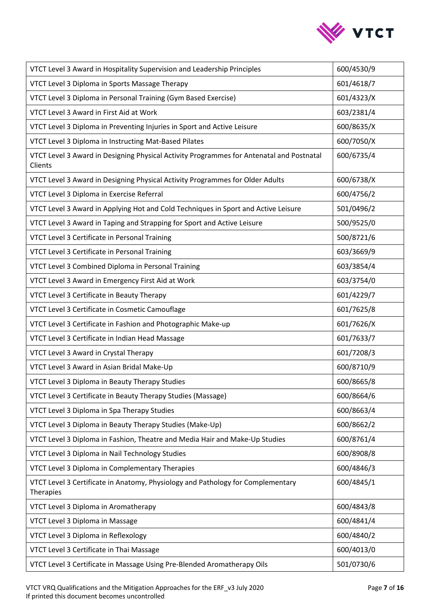

| VTCT Level 3 Award in Hospitality Supervision and Leadership Principles                             | 600/4530/9 |
|-----------------------------------------------------------------------------------------------------|------------|
| VTCT Level 3 Diploma in Sports Massage Therapy                                                      | 601/4618/7 |
| VTCT Level 3 Diploma in Personal Training (Gym Based Exercise)                                      | 601/4323/X |
| VTCT Level 3 Award in First Aid at Work                                                             | 603/2381/4 |
| VTCT Level 3 Diploma in Preventing Injuries in Sport and Active Leisure                             | 600/8635/X |
| VTCT Level 3 Diploma in Instructing Mat-Based Pilates                                               | 600/7050/X |
| VTCT Level 3 Award in Designing Physical Activity Programmes for Antenatal and Postnatal<br>Clients | 600/6735/4 |
| VTCT Level 3 Award in Designing Physical Activity Programmes for Older Adults                       | 600/6738/X |
| VTCT Level 3 Diploma in Exercise Referral                                                           | 600/4756/2 |
| VTCT Level 3 Award in Applying Hot and Cold Techniques in Sport and Active Leisure                  | 501/0496/2 |
| VTCT Level 3 Award in Taping and Strapping for Sport and Active Leisure                             | 500/9525/0 |
| VTCT Level 3 Certificate in Personal Training                                                       | 500/8721/6 |
| VTCT Level 3 Certificate in Personal Training                                                       | 603/3669/9 |
| VTCT Level 3 Combined Diploma in Personal Training                                                  | 603/3854/4 |
| VTCT Level 3 Award in Emergency First Aid at Work                                                   | 603/3754/0 |
| VTCT Level 3 Certificate in Beauty Therapy                                                          | 601/4229/7 |
| VTCT Level 3 Certificate in Cosmetic Camouflage                                                     | 601/7625/8 |
| VTCT Level 3 Certificate in Fashion and Photographic Make-up                                        | 601/7626/X |
| VTCT Level 3 Certificate in Indian Head Massage                                                     | 601/7633/7 |
| VTCT Level 3 Award in Crystal Therapy                                                               | 601/7208/3 |
| VTCT Level 3 Award in Asian Bridal Make-Up                                                          | 600/8710/9 |
| VTCT Level 3 Diploma in Beauty Therapy Studies                                                      | 600/8665/8 |
| VTCT Level 3 Certificate in Beauty Therapy Studies (Massage)                                        | 600/8664/6 |
| VTCT Level 3 Diploma in Spa Therapy Studies                                                         | 600/8663/4 |
| VTCT Level 3 Diploma in Beauty Therapy Studies (Make-Up)                                            | 600/8662/2 |
| VTCT Level 3 Diploma in Fashion, Theatre and Media Hair and Make-Up Studies                         | 600/8761/4 |
| VTCT Level 3 Diploma in Nail Technology Studies                                                     | 600/8908/8 |
| VTCT Level 3 Diploma in Complementary Therapies                                                     | 600/4846/3 |
| VTCT Level 3 Certificate in Anatomy, Physiology and Pathology for Complementary<br>Therapies        | 600/4845/1 |
| VTCT Level 3 Diploma in Aromatherapy                                                                | 600/4843/8 |
| VTCT Level 3 Diploma in Massage                                                                     | 600/4841/4 |
| VTCT Level 3 Diploma in Reflexology                                                                 | 600/4840/2 |
| VTCT Level 3 Certificate in Thai Massage                                                            | 600/4013/0 |
| VTCT Level 3 Certificate in Massage Using Pre-Blended Aromatherapy Oils                             | 501/0730/6 |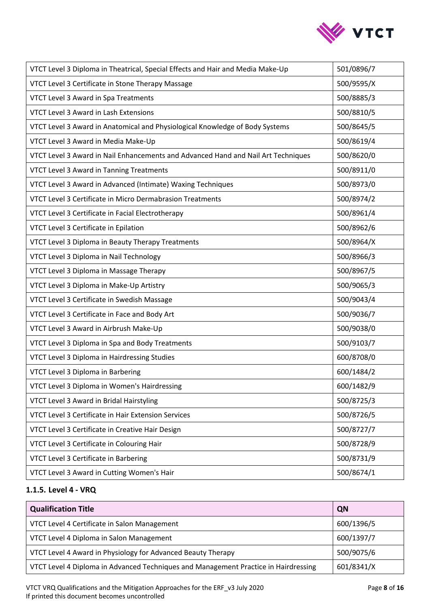

| VTCT Level 3 Diploma in Theatrical, Special Effects and Hair and Media Make-Up    | 501/0896/7 |
|-----------------------------------------------------------------------------------|------------|
| VTCT Level 3 Certificate in Stone Therapy Massage                                 | 500/9595/X |
| VTCT Level 3 Award in Spa Treatments                                              | 500/8885/3 |
| VTCT Level 3 Award in Lash Extensions                                             | 500/8810/5 |
| VTCT Level 3 Award in Anatomical and Physiological Knowledge of Body Systems      | 500/8645/5 |
| VTCT Level 3 Award in Media Make-Up                                               | 500/8619/4 |
| VTCT Level 3 Award in Nail Enhancements and Advanced Hand and Nail Art Techniques | 500/8620/0 |
| VTCT Level 3 Award in Tanning Treatments                                          | 500/8911/0 |
| VTCT Level 3 Award in Advanced (Intimate) Waxing Techniques                       | 500/8973/0 |
| VTCT Level 3 Certificate in Micro Dermabrasion Treatments                         | 500/8974/2 |
| VTCT Level 3 Certificate in Facial Electrotherapy                                 | 500/8961/4 |
| VTCT Level 3 Certificate in Epilation                                             | 500/8962/6 |
| VTCT Level 3 Diploma in Beauty Therapy Treatments                                 | 500/8964/X |
| VTCT Level 3 Diploma in Nail Technology                                           | 500/8966/3 |
| VTCT Level 3 Diploma in Massage Therapy                                           | 500/8967/5 |
| VTCT Level 3 Diploma in Make-Up Artistry                                          | 500/9065/3 |
| VTCT Level 3 Certificate in Swedish Massage                                       | 500/9043/4 |
| VTCT Level 3 Certificate in Face and Body Art                                     | 500/9036/7 |
| VTCT Level 3 Award in Airbrush Make-Up                                            | 500/9038/0 |
| VTCT Level 3 Diploma in Spa and Body Treatments                                   | 500/9103/7 |
| VTCT Level 3 Diploma in Hairdressing Studies                                      | 600/8708/0 |
| VTCT Level 3 Diploma in Barbering                                                 | 600/1484/2 |
| VTCT Level 3 Diploma in Women's Hairdressing                                      | 600/1482/9 |
| VTCT Level 3 Award in Bridal Hairstyling                                          | 500/8725/3 |
| VTCT Level 3 Certificate in Hair Extension Services                               | 500/8726/5 |
| VTCT Level 3 Certificate in Creative Hair Design                                  | 500/8727/7 |
| VTCT Level 3 Certificate in Colouring Hair                                        | 500/8728/9 |
| VTCT Level 3 Certificate in Barbering                                             | 500/8731/9 |
| VTCT Level 3 Award in Cutting Women's Hair                                        | 500/8674/1 |

# <span id="page-7-0"></span>**1.1.5. Level 4 - VRQ**

| <b>Qualification Title</b>                                                          | QN         |
|-------------------------------------------------------------------------------------|------------|
| VTCT Level 4 Certificate in Salon Management                                        | 600/1396/5 |
| VTCT Level 4 Diploma in Salon Management                                            | 600/1397/7 |
| VTCT Level 4 Award in Physiology for Advanced Beauty Therapy                        | 500/9075/6 |
| VTCT Level 4 Diploma in Advanced Techniques and Management Practice in Hairdressing | 601/8341/X |

VTCT VRQ Qualifications and the Mitigation Approaches for the ERF\_v3 July 2020 Page **8** of **16** If printed this document becomes uncontrolled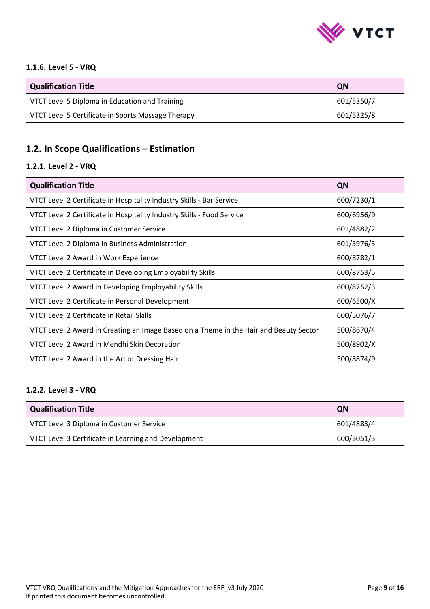

#### <span id="page-8-0"></span>**1.1.6. Level 5 - VRQ**

| <b>Qualification Title</b>                         | QN         |
|----------------------------------------------------|------------|
| VTCT Level 5 Diploma in Education and Training     | 601/5350/7 |
| VTCT Level 5 Certificate in Sports Massage Therapy | 601/5325/8 |

# <span id="page-8-1"></span>**1.2. In Scope Qualifications – Estimation**

#### <span id="page-8-2"></span>**1.2.1. Level 2 - VRQ**

| <b>Qualification Title</b>                                                             | QN         |
|----------------------------------------------------------------------------------------|------------|
| VTCT Level 2 Certificate in Hospitality Industry Skills - Bar Service                  | 600/7230/1 |
| VTCT Level 2 Certificate in Hospitality Industry Skills - Food Service                 | 600/6956/9 |
| VTCT Level 2 Diploma in Customer Service                                               | 601/4882/2 |
| VTCT Level 2 Diploma in Business Administration                                        | 601/5976/5 |
| VTCT Level 2 Award in Work Experience                                                  | 600/8782/1 |
| VTCT Level 2 Certificate in Developing Employability Skills                            | 600/8753/5 |
| VTCT Level 2 Award in Developing Employability Skills                                  | 600/8752/3 |
| VTCT Level 2 Certificate in Personal Development                                       | 600/6500/X |
| VTCT Level 2 Certificate in Retail Skills                                              | 600/5076/7 |
| VTCT Level 2 Award in Creating an Image Based on a Theme in the Hair and Beauty Sector | 500/8670/4 |
| VTCT Level 2 Award in Mendhi Skin Decoration                                           | 500/8902/X |
| VTCT Level 2 Award in the Art of Dressing Hair                                         | 500/8874/9 |

#### <span id="page-8-3"></span>**1.2.2. Level 3 - VRQ**

| Qualification Title                                  | QN         |
|------------------------------------------------------|------------|
| VTCT Level 3 Diploma in Customer Service             | 601/4883/4 |
| VTCT Level 3 Certificate in Learning and Development | 600/3051/3 |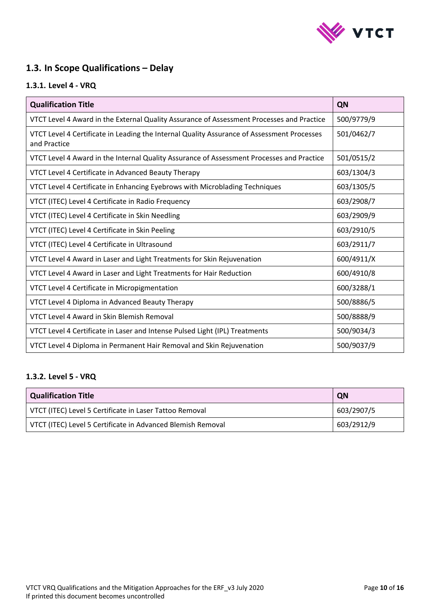

# <span id="page-9-0"></span>**1.3. In Scope Qualifications – Delay**

## <span id="page-9-1"></span>**1.3.1. Level 4 - VRQ**

| <b>Qualification Title</b>                                                                                 | QN         |
|------------------------------------------------------------------------------------------------------------|------------|
| VTCT Level 4 Award in the External Quality Assurance of Assessment Processes and Practice                  | 500/9779/9 |
| VTCT Level 4 Certificate in Leading the Internal Quality Assurance of Assessment Processes<br>and Practice | 501/0462/7 |
| VTCT Level 4 Award in the Internal Quality Assurance of Assessment Processes and Practice                  | 501/0515/2 |
| VTCT Level 4 Certificate in Advanced Beauty Therapy                                                        | 603/1304/3 |
| VTCT Level 4 Certificate in Enhancing Eyebrows with Microblading Techniques                                | 603/1305/5 |
| VTCT (ITEC) Level 4 Certificate in Radio Frequency                                                         | 603/2908/7 |
| VTCT (ITEC) Level 4 Certificate in Skin Needling                                                           | 603/2909/9 |
| VTCT (ITEC) Level 4 Certificate in Skin Peeling                                                            | 603/2910/5 |
| VTCT (ITEC) Level 4 Certificate in Ultrasound                                                              | 603/2911/7 |
| VTCT Level 4 Award in Laser and Light Treatments for Skin Rejuvenation                                     | 600/4911/X |
| VTCT Level 4 Award in Laser and Light Treatments for Hair Reduction                                        | 600/4910/8 |
| VTCT Level 4 Certificate in Micropigmentation                                                              | 600/3288/1 |
| VTCT Level 4 Diploma in Advanced Beauty Therapy                                                            | 500/8886/5 |
| VTCT Level 4 Award in Skin Blemish Removal                                                                 | 500/8888/9 |
| VTCT Level 4 Certificate in Laser and Intense Pulsed Light (IPL) Treatments                                | 500/9034/3 |
| VTCT Level 4 Diploma in Permanent Hair Removal and Skin Rejuvenation                                       | 500/9037/9 |

### <span id="page-9-2"></span>**1.3.2. Level 5 - VRQ**

| Qualification Title                                         | <b>QN</b>  |
|-------------------------------------------------------------|------------|
| VTCT (ITEC) Level 5 Certificate in Laser Tattoo Removal     | 603/2907/5 |
| VTCT (ITEC) Level 5 Certificate in Advanced Blemish Removal | 603/2912/9 |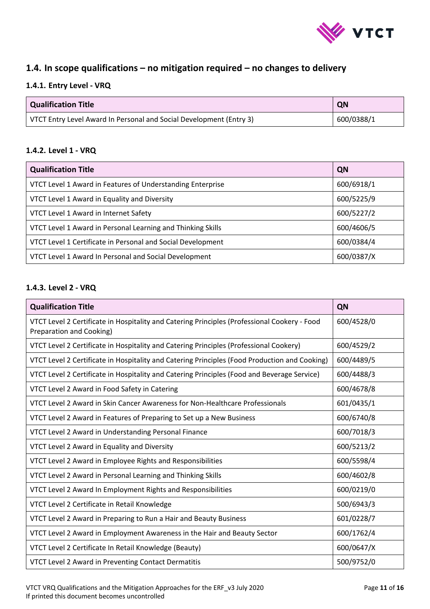

# <span id="page-10-0"></span>**1.4. In scope qualifications – no mitigation required – no changes to delivery**

## <span id="page-10-1"></span>**1.4.1. Entry Level - VRQ**

| Qualification Title                                                 | QN         |
|---------------------------------------------------------------------|------------|
| VTCT Entry Level Award In Personal and Social Development (Entry 3) | 600/0388/1 |

#### <span id="page-10-2"></span>**1.4.2. Level 1 - VRQ**

| <b>Qualification Title</b>                                  | QN         |
|-------------------------------------------------------------|------------|
| VTCT Level 1 Award in Features of Understanding Enterprise  | 600/6918/1 |
| VTCT Level 1 Award in Equality and Diversity                | 600/5225/9 |
| VTCT Level 1 Award in Internet Safety                       | 600/5227/2 |
| VTCT Level 1 Award in Personal Learning and Thinking Skills | 600/4606/5 |
| VTCT Level 1 Certificate in Personal and Social Development | 600/0384/4 |
| VTCT Level 1 Award In Personal and Social Development       | 600/0387/X |

#### <span id="page-10-3"></span>**1.4.3. Level 2 - VRQ**

| <b>Qualification Title</b>                                                                                               | QN         |
|--------------------------------------------------------------------------------------------------------------------------|------------|
| VTCT Level 2 Certificate in Hospitality and Catering Principles (Professional Cookery - Food<br>Preparation and Cooking) | 600/4528/0 |
| VTCT Level 2 Certificate in Hospitality and Catering Principles (Professional Cookery)                                   | 600/4529/2 |
| VTCT Level 2 Certificate in Hospitality and Catering Principles (Food Production and Cooking)                            | 600/4489/5 |
| VTCT Level 2 Certificate in Hospitality and Catering Principles (Food and Beverage Service)                              | 600/4488/3 |
| VTCT Level 2 Award in Food Safety in Catering                                                                            | 600/4678/8 |
| VTCT Level 2 Award in Skin Cancer Awareness for Non-Healthcare Professionals                                             | 601/0435/1 |
| VTCT Level 2 Award in Features of Preparing to Set up a New Business                                                     | 600/6740/8 |
| VTCT Level 2 Award in Understanding Personal Finance                                                                     | 600/7018/3 |
| VTCT Level 2 Award in Equality and Diversity                                                                             | 600/5213/2 |
| VTCT Level 2 Award in Employee Rights and Responsibilities                                                               | 600/5598/4 |
| VTCT Level 2 Award in Personal Learning and Thinking Skills                                                              | 600/4602/8 |
| VTCT Level 2 Award In Employment Rights and Responsibilities                                                             | 600/0219/0 |
| VTCT Level 2 Certificate in Retail Knowledge                                                                             | 500/6943/3 |
| VTCT Level 2 Award in Preparing to Run a Hair and Beauty Business                                                        | 601/0228/7 |
| VTCT Level 2 Award in Employment Awareness in the Hair and Beauty Sector                                                 | 600/1762/4 |
| VTCT Level 2 Certificate In Retail Knowledge (Beauty)                                                                    | 600/0647/X |
| VTCT Level 2 Award in Preventing Contact Dermatitis                                                                      | 500/9752/0 |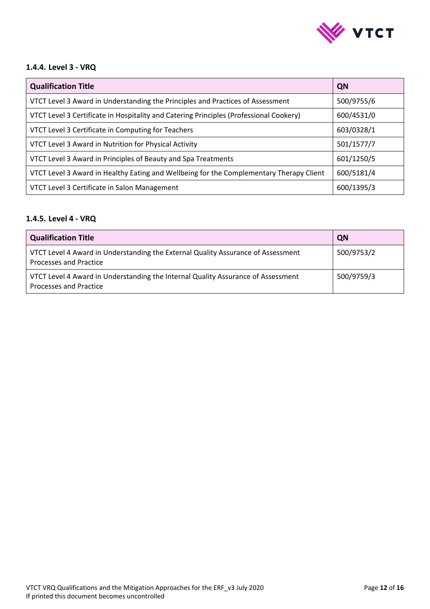

#### <span id="page-11-0"></span>**1.4.4. Level 3 - VRQ**

| <b>Qualification Title</b>                                                              | QN         |
|-----------------------------------------------------------------------------------------|------------|
| VTCT Level 3 Award in Understanding the Principles and Practices of Assessment          | 500/9755/6 |
| VTCT Level 3 Certificate in Hospitality and Catering Principles (Professional Cookery)  | 600/4531/0 |
| VTCT Level 3 Certificate in Computing for Teachers                                      | 603/0328/1 |
| VTCT Level 3 Award in Nutrition for Physical Activity                                   | 501/1577/7 |
| VTCT Level 3 Award in Principles of Beauty and Spa Treatments                           | 601/1250/5 |
| VTCT Level 3 Award in Healthy Eating and Wellbeing for the Complementary Therapy Client | 600/5181/4 |
| VTCT Level 3 Certificate in Salon Management                                            | 600/1395/3 |

## <span id="page-11-1"></span>**1.4.5. Level 4 - VRQ**

| Qualification Title                                                                                        | QN         |
|------------------------------------------------------------------------------------------------------------|------------|
| VTCT Level 4 Award in Understanding the External Quality Assurance of Assessment<br>Processes and Practice | 500/9753/2 |
| VTCT Level 4 Award in Understanding the Internal Quality Assurance of Assessment<br>Processes and Practice | 500/9759/3 |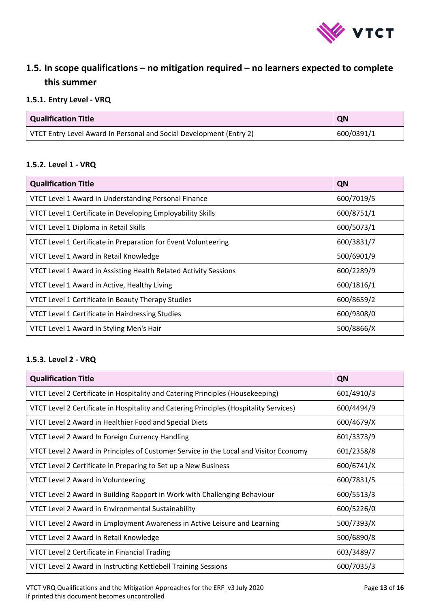

# <span id="page-12-0"></span>**1.5. In scope qualifications – no mitigation required – no learners expected to complete this summer**

# <span id="page-12-1"></span>**1.5.1. Entry Level - VRQ**

| <b>Qualification Title</b>                                          | QN         |
|---------------------------------------------------------------------|------------|
| VTCT Entry Level Award In Personal and Social Development (Entry 2) | 600/0391/1 |

#### <span id="page-12-2"></span>**1.5.2. Level 1 - VRQ**

| <b>Qualification Title</b>                                       | QN         |
|------------------------------------------------------------------|------------|
| VTCT Level 1 Award in Understanding Personal Finance             | 600/7019/5 |
| VTCT Level 1 Certificate in Developing Employability Skills      | 600/8751/1 |
| VTCT Level 1 Diploma in Retail Skills                            | 600/5073/1 |
| VTCT Level 1 Certificate in Preparation for Event Volunteering   | 600/3831/7 |
| VTCT Level 1 Award in Retail Knowledge                           | 500/6901/9 |
| VTCT Level 1 Award in Assisting Health Related Activity Sessions | 600/2289/9 |
| VTCT Level 1 Award in Active, Healthy Living                     | 600/1816/1 |
| VTCT Level 1 Certificate in Beauty Therapy Studies               | 600/8659/2 |
| VTCT Level 1 Certificate in Hairdressing Studies                 | 600/9308/0 |
| VTCT Level 1 Award in Styling Men's Hair                         | 500/8866/X |

#### <span id="page-12-3"></span>**1.5.3. Level 2 - VRQ**

| <b>Qualification Title</b>                                                             | QN         |
|----------------------------------------------------------------------------------------|------------|
| VTCT Level 2 Certificate in Hospitality and Catering Principles (Housekeeping)         | 601/4910/3 |
| VTCT Level 2 Certificate in Hospitality and Catering Principles (Hospitality Services) | 600/4494/9 |
| VTCT Level 2 Award in Healthier Food and Special Diets                                 | 600/4679/X |
| VTCT Level 2 Award In Foreign Currency Handling                                        | 601/3373/9 |
| VTCT Level 2 Award in Principles of Customer Service in the Local and Visitor Economy  | 601/2358/8 |
| VTCT Level 2 Certificate in Preparing to Set up a New Business                         | 600/6741/X |
| VTCT Level 2 Award in Volunteering                                                     | 600/7831/5 |
| VTCT Level 2 Award in Building Rapport in Work with Challenging Behaviour              | 600/5513/3 |
| VTCT Level 2 Award in Environmental Sustainability                                     | 600/5226/0 |
| VTCT Level 2 Award in Employment Awareness in Active Leisure and Learning              | 500/7393/X |
| VTCT Level 2 Award in Retail Knowledge                                                 | 500/6890/8 |
| VTCT Level 2 Certificate in Financial Trading                                          | 603/3489/7 |
| VTCT Level 2 Award in Instructing Kettlebell Training Sessions                         | 600/7035/3 |

VTCT VRQ Qualifications and the Mitigation Approaches for the ERF\_v3 July 2020 Page **13** of **16** If printed this document becomes uncontrolled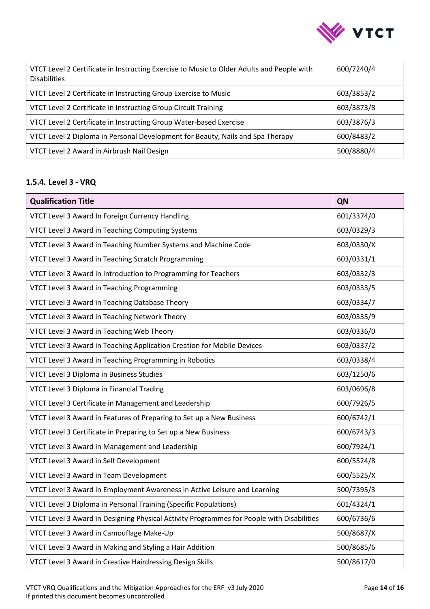

| VTCT Level 2 Certificate in Instructing Exercise to Music to Older Adults and People with<br><b>Disabilities</b> | 600/7240/4 |
|------------------------------------------------------------------------------------------------------------------|------------|
| VTCT Level 2 Certificate in Instructing Group Exercise to Music                                                  | 603/3853/2 |
| VTCT Level 2 Certificate in Instructing Group Circuit Training                                                   | 603/3873/8 |
| VTCT Level 2 Certificate in Instructing Group Water-based Exercise                                               | 603/3876/3 |
| VTCT Level 2 Diploma in Personal Development for Beauty, Nails and Spa Therapy                                   | 600/8483/2 |
| VTCT Level 2 Award in Airbrush Nail Design                                                                       | 500/8880/4 |

# <span id="page-13-0"></span>**1.5.4. Level 3 - VRQ**

| <b>Qualification Title</b>                                                                | QN         |
|-------------------------------------------------------------------------------------------|------------|
| VTCT Level 3 Award In Foreign Currency Handling                                           | 601/3374/0 |
| VTCT Level 3 Award in Teaching Computing Systems                                          | 603/0329/3 |
| VTCT Level 3 Award in Teaching Number Systems and Machine Code                            | 603/0330/X |
| VTCT Level 3 Award in Teaching Scratch Programming                                        | 603/0331/1 |
| VTCT Level 3 Award in Introduction to Programming for Teachers                            | 603/0332/3 |
| VTCT Level 3 Award in Teaching Programming                                                | 603/0333/5 |
| VTCT Level 3 Award in Teaching Database Theory                                            | 603/0334/7 |
| VTCT Level 3 Award in Teaching Network Theory                                             | 603/0335/9 |
| VTCT Level 3 Award in Teaching Web Theory                                                 | 603/0336/0 |
| VTCT Level 3 Award in Teaching Application Creation for Mobile Devices                    | 603/0337/2 |
| VTCT Level 3 Award in Teaching Programming in Robotics                                    | 603/0338/4 |
| VTCT Level 3 Diploma in Business Studies                                                  | 603/1250/6 |
| VTCT Level 3 Diploma in Financial Trading                                                 | 603/0696/8 |
| VTCT Level 3 Certificate in Management and Leadership                                     | 600/7926/5 |
| VTCT Level 3 Award in Features of Preparing to Set up a New Business                      | 600/6742/1 |
| VTCT Level 3 Certificate in Preparing to Set up a New Business                            | 600/6743/3 |
| VTCT Level 3 Award in Management and Leadership                                           | 600/7924/1 |
| VTCT Level 3 Award in Self Development                                                    | 600/5524/8 |
| VTCT Level 3 Award in Team Development                                                    | 600/5525/X |
| VTCT Level 3 Award in Employment Awareness in Active Leisure and Learning                 | 500/7395/3 |
| VTCT Level 3 Diploma in Personal Training (Specific Populations)                          | 601/4324/1 |
| VTCT Level 3 Award in Designing Physical Activity Programmes for People with Disabilities | 600/6736/6 |
| VTCT Level 3 Award in Camouflage Make-Up                                                  | 500/8687/X |
| VTCT Level 3 Award in Making and Styling a Hair Addition                                  | 500/8685/6 |
| VTCT Level 3 Award in Creative Hairdressing Design Skills                                 | 500/8617/0 |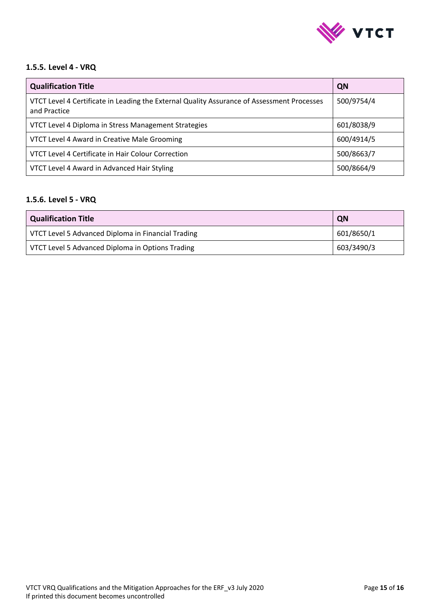

#### <span id="page-14-0"></span>**1.5.5. Level 4 - VRQ**

| <b>Qualification Title</b>                                                                                 | QN         |
|------------------------------------------------------------------------------------------------------------|------------|
| VTCT Level 4 Certificate in Leading the External Quality Assurance of Assessment Processes<br>and Practice | 500/9754/4 |
| VTCT Level 4 Diploma in Stress Management Strategies                                                       | 601/8038/9 |
| VTCT Level 4 Award in Creative Male Grooming                                                               | 600/4914/5 |
| VTCT Level 4 Certificate in Hair Colour Correction                                                         | 500/8663/7 |
| VTCT Level 4 Award in Advanced Hair Styling                                                                | 500/8664/9 |

#### <span id="page-14-1"></span>**1.5.6. Level 5 - VRQ**

| Qualification Title                                | QN         |
|----------------------------------------------------|------------|
| VTCT Level 5 Advanced Diploma in Financial Trading | 601/8650/1 |
| VTCT Level 5 Advanced Diploma in Options Trading   | 603/3490/3 |